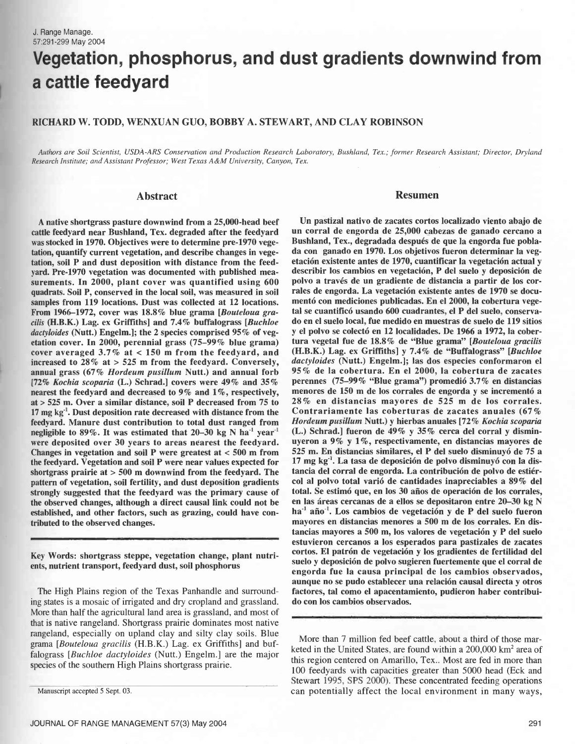# Vegetation, phosphorus, and dust gradients downwind from a cattle feedyard

# RICHARD W. TODD, WENXUAN GUO, BOBBY A. STEWART, AND CLAY ROBINSON

Authors are Soil Scientist, USDA-ARS Conservation and Production Research Laboratory, Bushland, Tex.; former Research Assistant; Director, Dryland Research Institute; and Assistant Professor; West Texas A &M University, Canyon, Tex.

# Abstract

A native shortgrass pasture downwind from a 25,000 -head beef cattle feedyard near Bushland, Tex. degraded after the feedyard was stocked in 1970. Objectives were to determine pre -1970 vegetation, quantify current vegetation, and describe changes in vegetation, soil P and dust deposition with distance from the feed yard. Pre-1970 vegetation was documented with published measurements. In 2000, plant cover was quantified using 600 quadrats. Soil P, conserved in the local soil, was measured in soil samples from 119 locations. Dust was collected at 12 locations. From 1966–1972, cover was 18.8% blue grama [Bouteloua gracilis (H.B.K.) Lag. ex Griffiths] and 7.4% buffalograss [Buchloe dactyloides (Nutt.) Engelm.]; the 2 species comprised 95% of vegetation cover. In 2000, perennial grass (75 -99% blue grama) cover averaged 3.7% at < 150 m from the feedyard, and increased to 28% at > 525 m from the feedyard. Conversely, annual grass (67% Hordeum pusillum Nutt.) and annual forb [72% Kochia scoparia (L.) Schrad.] covers were  $49\%$  and  $35\%$  perennes  $(75-99\%$  "Blue grama") promedió  $3.7\%$  en distancias nearest the feedvard and decreased to 9% and 1%, respectively, menores de 150 m de los corr nearest the feedyard and decreased to 9% and 1%, respectively, at > 525 m. Over a similar distance, soil P decreased from 75 to  $28\%$  en distancias mayores de 525 m de los corrales.<br>17 mg kg<sup>-1</sup>, Dust deposition rate decreased with distance from the Contrariamente las coberturas de 17 mg kg'. Dust deposition rate decreased with distance from the feedyard. Manure dust contribution to total dust ranged from negligible to  $89\%$ . It was estimated that 20-30 kg N ha<sup>-1</sup> year<sup>-1</sup> were deposited over 30 years to areas nearest the feedyard. Changes in vegetation and soil P were greatest at < 500 m from the feedyard. Vegetation and soil P were near values expected for shortgrass prairie at  $> 500$  m downwind from the feedyard. The pattern of vegetation, soil fertility, and dust deposition gradients strongly suggested that the feedyard was the primary cause of the observed changes, although a direct causal link could not be established, and other factors, such as grazing, could have contributed to the observed changes.

Key Words: shortgrass steppe, vegetation change, plant nutrients, nutrient transport, feedyard dust, soil phosphorus

The High Plains region of the Texas Panhandle and surrounding states is a mosaic of irrigated and dry cropland and grassland. More than half the agricultural land area is grassland, and most of that is native rangeland. Shortgrass prairie dominates most native rangeland, especially on upland clay and silty clay soils. Blue grama [Bouteloua gracilis (H.B.K.) Lag. ex Griffiths] and buffalograss *[Buchloe dactyloides (Nutt.)* Engelm.] are the major species of the southern High Plains shortgrass prairie.

## Resumen

Un pastizal nativo de zacates cortos localizado viento abajo de un corral de engorda de 25,000 cabezas de ganado cercano a Bushland, Tex., degradada después de que la engorda fue poblada con ganado en 1970. Los objetivos fueron determinar la vegetación existente antes de 1970, cuantificar la vegetación actual y describir los cambios en vegetación, P del suelo y deposición de polvo a través de un gradiente de distancia a partir de los corrales de engorda. La vegetación existente antes de 1970 se documentó con mediciones publicadas. En el 2000, la cobertura vegetal se cuantificó usando 600 cuadrantes, el P del suelo, conservado en el suelo local, fue medido en muestras de suelo de 119 sitios y el polvo se colectó en 12 localidades. De 1966 a 1972, la cobertura vegetal fue de 18.8% de "Blue grama" [Bouteloua gracilis (H.B.K.) Lag. ex Griffiths] y 7.4% de "Buffalograss" [Buchloe dactyloides (Nutt.) Engelm.]; las dos especies conformaron el 95% de la cobertura. En el 2000, la cobertura de zacates perennes  $(75-99\%$  "Blue grama") promedió 3.7% en distancias 28% en distancias mayores de 525 m de los corrales. Hordeum pusillum Nutt.) y hierbas anuales [72% Kochia scoparia (L.) Schrad.] fueron de 49% y 35% cerca del corral y disminuyeron a 9% y 1 %, respectivamente, en distancias mayores de 525 m. En distancias similares, el P del suelo disminuyó de 75 a 17 mg kg"'. La tasa de deposición de polvo disminuyó con la distancia del corral de engorda. La contribución de polvo de estiércol al polvo total varió de cantidades inapreciables a 89% del total. Se estimó que, en los 30 años de operación de los corrales, en las áreas cercanas de a ellos se depositaron entre 20-30 kg N ha<sup>-1</sup> año<sup>-1</sup>. Los cambios de vegetación y de P del suelo fueron mayores en distancias menores a 500 m de los corrales. En distancias mayores a 500 m, los valores de vegetación y P del suelo estuvieron cercanos a los esperados para pastizales de zacates cortos. El patrón de vegetación y los gradientes de fertilidad del suelo y deposición de polvo sugieren fuertemente que el corral de engorda fue la causa principal de los cambios observados, aunque no se pudo establecer una relación causal directa y otros factores, tal como el apacentamiento, pudieron haber contribuido con los cambios observados.

More than 7 million fed beef cattle, about a third of those marketed in the United States, are found within a 200,000 km<sup>2</sup> area of this region centered on Amarillo, Tex.. Most are fed in more than 100 feedyards with capacities greater than 5000 head (Eck and Stewart 1995, SPS 2000). These concentrated feeding operations can potentially affect the local environment in many ways,

Manuscript accepted 5 Sept. 03.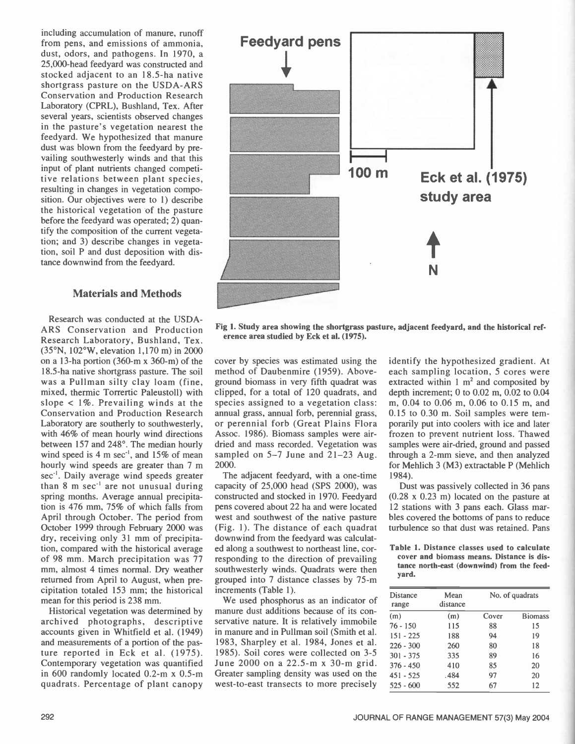including accumulation of manure, runoff from pens, and emissions of ammonia, dust, odors, and pathogens. In 1970, a 25,000 -head feedyard was constructed and stocked adjacent to an 18.5 -ha native shortgrass pasture on the USDA-ARS Conservation and Production Research Laboratory (CPRL), Bushland, Tex. After several years, scientists observed changes in the pasture's vegetation nearest the feedyard. We hypothesized that manure dust was blown from the feedyard by prevailing southwesterly winds and that this input of plant nutrients changed competitive relations between plant species, resulting in changes in vegetation composition. Our objectives were to 1) describe the historical vegetation of the pasture before the feedyard was operated; 2) quantify the composition of the current vegetation; and 3) describe changes in vegetation, soil P and dust deposition with distance downwind from the feedyard.

# Materials and Methods

Research was conducted at the USDA ARS Conservation and Production Research Laboratory, Bushland, Tex. (35 °N, 102 °W, elevation 1,170 m) in 2000 on a 13-ha portion  $(360-m \times 360-m)$  of the 18.5 -ha native shortgrass pasture. The soil was a Pullman silty clay loam (fine, mixed, thermic Torrertic Paleustoll) with slope  $< 1\%$ . Prevailing winds at the Conservation and Production Research Laboratory are southerly to southwesterly, with 46% of mean hourly wind directions between 157 and 248°. The median hourly wind speed is 4 m sec<sup>-1</sup>, and 15% of mean hourly wind speeds are greater than 7 m sec<sup>-1</sup>. Daily average wind speeds greater than 8 m sec<sup>-1</sup> are not unusual during spring months. Average annual precipitation is 476 mm, 75% of which falls from April through October. The period from October 1999 through February 2000 was dry, receiving only 31 mm of precipitation, compared with the historical average of 98 mm. March precipitation was 77 mm, almost 4 times normal. Dry weather returned from April to August, when precipitation totaled 153 mm; the historical mean for this period is 238 mm.

Historical vegetation was determined by archived photographs, descriptive accounts given in Whitfield et al. (1949) and measurements of a portion of the pas-<br>ture reported in Eck et al. (1975). Contemporary vegetation was quantified in 600 randomly located 0.2 -m x 0.5 -m quadrats. Percentage of plant canopy



Fig 1. Study area showing the shortgrass pasture, adjacent feedyard, and the historical reference area studied by Eck et al. (1975).

cover by species was estimated using the method of Daubenmire (1959). Aboveground biomass in very fifth quadrat was clipped, for a total of 120 quadrats, and species assigned to a vegetation class: annual grass, annual forb, perennial grass, or perennial forb (Great Plains Flora Assoc. 1986). Biomass samples were air dried and mass recorded. Vegetation was sampled on  $5-7$  June and  $21-23$  Aug. 2000.

The adjacent feedyard, with a one-time capacity of 25,000 head (SPS 2000), was constructed and stocked in 1970. Feedyard pens covered about 22 ha and were located west and southwest of the native pasture (Fig. 1). The distance of each quadrat downwind from the feedyard was calculated along a southwest to northeast line, corresponding to the direction of prevailing southwesterly winds. Quadrats were then grouped into 7 distance classes by 75 -m increments (Table 1).

We used phosphorus as an indicator of manure dust additions because of its conservative nature. It is relatively immobile in manure and in Pullman soil (Smith et al. 1983, Sharpley et al. 1984, Jones et al. 1985). Soil cores were collected on 3-5 June 2000 on a 22.5-m x 30-m grid. Greater sampling density was used on the west-to-east transects to more precisely identify the hypothesized gradient. At each sampling location, 5 cores were extracted within  $1 \text{ m}^2$  and composited by depth increment; 0 to 0.02 m, 0.02 to 0.04 m, 0.04 to 0.06 m, 0.06 to 0.15 m, and 0.15 to 0.30 m. Soil samples were temporarily put into coolers with ice and later frozen to prevent nutrient loss. Thawed samples were air-dried, ground and passed through a 2 -mm sieve, and then analyzed for Mehlich 3 (M3) extractable P (Mehlich 1984).

Dust was passively collected in 36 pans (0.28 x 0.23 m) located on the pasture at 12 stations with 3 pans each. Glass marbles covered the bottoms of pans to reduce turbulence so that dust was retained. Pans

Table 1. Distance classes used to calculate cover and biomass means. Distance is distance north-east (downwind) from the feedyard.

| Distance<br>range | Mean<br>distance | No. of quadrats |                |  |
|-------------------|------------------|-----------------|----------------|--|
| (m)               | (m)              | Cover           | <b>Biomass</b> |  |
| $76 - 150$        | 115              | 88              | 15             |  |
| $151 - 225$       | 188              | 94              | 19             |  |
| $226 - 300$       | 260              | 80              | 18             |  |
| $301 - 375$       | 335              | 89              | 16             |  |
| $376 - 450$       | 410              | 85              | 20             |  |
| $451 - 525$       | .484             | 97              | 20             |  |
| $525 - 600$       | 552              | 67              | 12             |  |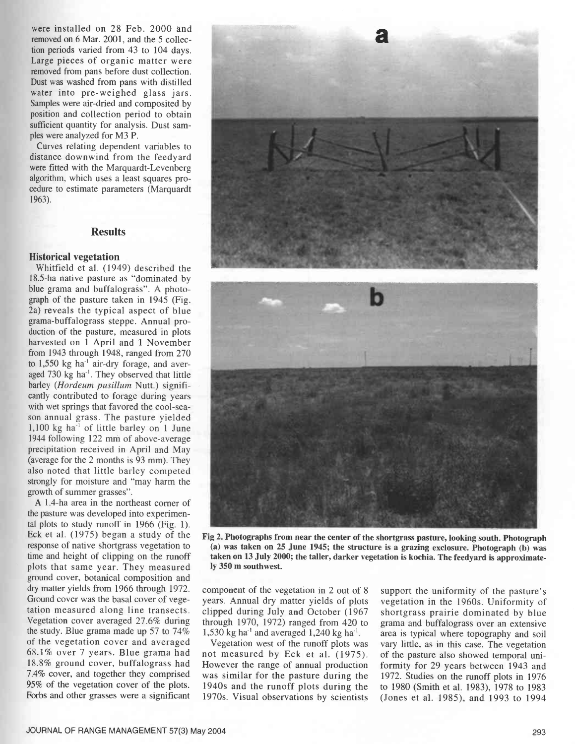were installed on 28 Feb. 2000 and removed on 6 Mar. 2001, and the 5 collection periods varied from 43 to 104 days. Large pieces of organic matter were removed from pans before dust collection. Dust was washed from pans with distilled water into pre-weighed glass jars. Samples were air -dried and composited by position and collection period to obtain sufficient quantity for analysis. Dust samples were analyzed for M3 P.

Curves relating dependent variables to distance downwind from the feedyard were fitted with the Marquardt-Levenberg algorithm, which uses a least squares procedure to estimate parameters (Marquardt 1963).

# Results

#### Historical vegetation

Whitfield et al. (1949) described the 18.5 -ha native pasture as "dominated by blue grama and buffalograss". A photograph of the pasture taken in 1945 (Fig. 2a) reveals the typical aspect of blue grama- buffalograss steppe. Annual production of the pasture, measured in plots harvested on 1 April and 1 November from 1943 through 1948, ranged from 270 to 1,550 kg ha<sup>-1</sup> air-dry forage, and averaged 730 kg ha'. They observed that little barley (Hordeum pusillum Nutt.) significantly contributed to forage during years with wet springs that favored the cool-season annual grass. The pasture yielded 1,100 kg ha' of little barley on 1 June 1944 following 122 mm of above average precipitation received in April and May (average for the 2 months is 93 mm). They also noted that little barley competed strongly for moisture and "may harm the growth of summer grasses ".

A 1.4 -ha area in the northeast corner of the pasture was developed into experimental plots to study runoff in 1966 (Fig. 1). Eck et al. (1975) began a study of the response of native shortgrass vegetation to time and height of clipping on the runoff plots that same year. They measured ground cover, botanical composition and dry matter yields from 1966 through 1972. Ground cover was the basal cover of vegetation measured along line transects. Vegetation cover averaged 27.6% during the study. Blue grama made up 57 to 74% of the vegetation cover and averaged 68.1% over 7 years. Blue grama had 18.8% ground cover, buffalograss had 7.4% cover, and together they comprised 95% of the vegetation cover of the plots. Forbs and other grasses were a significant



Fig 2. Photographs from near the center of the shortgrass pasture, looking south. Photograph (a) was taken on 25 June 1945; the structure is a grazing exclosure. Photograph (b) was taken on 13 July 2000; the taller, darker vegetation is kochia. The feedyard is approximately 350 m southwest.

component of the vegetation in 2 out of 8 years. Annual dry matter yields of plots clipped during July and October (1967 through 1970, 1972) ranged from 420 to 1,530 kg ha<sup>-1</sup> and averaged 1,240 kg ha<sup>-1</sup>.

Vegetation west of the runoff plots was not measured by Eck et al. (1975). However the range of annual production was similar for the pasture during the 1940s and the runoff plots during the 1970s. Visual observations by scientists

support the uniformity of the pasture's vegetation in the 1960s. Uniformity of shortgrass prairie dominated by blue grama and buffalograss over an extensive area is typical where topography and soil vary little, as in this case. The vegetation of the pasture also showed temporal uniformity for 29 years between 1943 and 1972. Studies on the runoff plots in 1976 to 1980 (Smith et al. 1983), 1978 to 1983 (Jones et al. 1985), and 1993 to 1994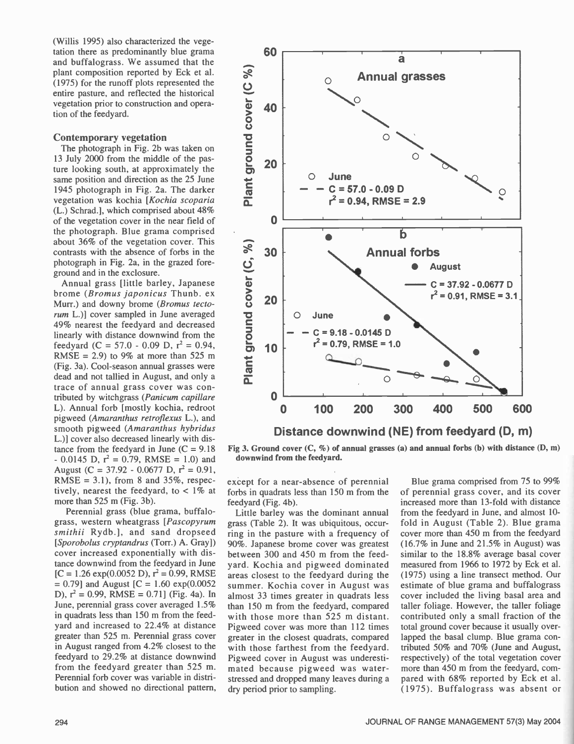(Willis 1995) also characterized the vegetation there as predominantly blue grama and buffalograss. We assumed that the<br>plant composition reported by Eck et al.<br>(1975) for the runoff plots represented the<br>entire pasture, and reflected the historical<br>vegetation prior to construction and opera-<br>tion of th plant composition reported by Eck et al. (1975) for the runoff plots represented the entire pasture, and reflected the historical vegetation prior to construction and operation of the feedyard.

# Contemporary vegetation

The photograph in Fig. 2b was taken on 13 July 2000 from the middle of the pasture looking south, at approximately the same position and direction as the 25 June 1945 photograph in Fig. 2a. The darker vegetation was kochia [Kochia scoparia (L.) Schrad.], which comprised about  $48\%$  of the vegetation cover in the near field of  $\qquad \qquad \bullet$ of the vegetation cover in the near field of the photograph. Blue grama comprised about 36% of the vegetation cover. This contrasts with the absence of forbs in the photograph in Fig. 2a, in the grazed foreground and in the exclosure.

Annual grass [little barley, Japanese brome (*Bromus japonicus* Thunb. ex.<br>Murr.) and downy brome (*Bromus tecto*. Murr.) and downy brome (Bromus tectorum L.)] cover sampled in June averaged 49% nearest the feedyard and decreased linearly with distance downwind from the feedyard (C = 57.0 - 0.09 D,  $r^2 = 0.94$ , feedyard (C = 57.0 - 0.09 D, r<sup>2</sup> = 0.94, **c** = **10**<br>RMSE = 2.9) to 9% at more than 525 m (Fig. 3a). Cool- season annual grasses were dead and not tallied in August, and only a trace of annual grass cover was contributed by witchgrass (Panicum capillare L). Annual forb [mostly kochia, redroot pigweed (Amaranthus retroflexus L.), and smooth pigweed (Amaranthus hybridus L.)] cover also decreased linearly with distance from the feedyard in June  $(C = 9.18)$  $-0.0145$  D,  $r^2 = 0.79$ , RMSE = 1.0) and August (C = 37.92 - 0.0677 D,  $r^2 = 0.91$ , RMSE = 3.1), from 8 and 35%, respectively, nearest the feedyard, to < 1% at more than 525 m (Fig. 3b).

Perennial grass (blue grama, buffalo grass, western wheatgrass [Pascopyrum smithii Rydb.], and sand dropseed [Sporobolus cryptandrus (Torr.) A. Gray]) cover increased exponentially with distance downwind from the feedyard in June  $[C = 1.26 \exp(0.0052 \text{ D}), r^2 = 0.99, \text{RMSE}]$  $= 0.79$ ] and August [C = 1.60 exp(0.0052 D),  $r^2 = 0.99$ , RMSE = 0.71] (Fig. 4a). In June, perennial grass cover averaged 1.5% in quadrats less than 150 m from the feedyard and increased to 22.4% at distance greater than 525 m. Perennial grass cover in August ranged from 4.2% closest to the feedyard to 29.2% at distance downwind from the feedyard greater than 525 m. Perennial forb cover was variable in distribution and showed no directional pattern,



Fig 3. Ground cover (C, %) of annual grasses (a) and annual forbs (b) with distance (D, m) downwind from the feedyard.

except for a near-absence of perennial forbs in quadrats less than 150 m from the feedyard (Fig. 4b).

Little barley was the dominant annual grass (Table 2). It was ubiquitous, occurring in the pasture with a frequency of 90%. Japanese brome cover was greatest between 300 and 450 m from the feed yard. Kochia and pigweed dominated areas closest to the feedyard during the summer. Kochia cover in August was almost 33 times greater in quadrats less than 150 m from the feedyard, compared with those more than 525 m distant. Pigweed cover was more than 112 times greater in the closest quadrats, compared with those farthest from the feedyard. Pigweed cover in August was underestimated because pigweed was water stressed and dropped many leaves during a dry period prior to sampling.

Blue grama comprised from 75 to 99% of perennial grass cover, and its cover increased more than 13 -fold with distance from the feedyard in June, and almost 10 fold in August (Table 2). Blue grama cover more than 450 m from the feedyard (16.7% in June and 21.5% in August) was similar to the 18.8% average basal cover measured from 1966 to 1972 by Eck et al. (1975) using a line transect method. Our estimate of blue grama and buffalograss cover included the living basal area and taller foliage. However, the taller foliage contributed only a small fraction of the total ground cover because it usually overlapped the basal clump. Blue grama contributed 50% and 70% (June and August, respectively) of the total vegetation cover more than 450 m from the feedyard, compared with 68% reported by Eck et al. (1975). Buffalograss was absent or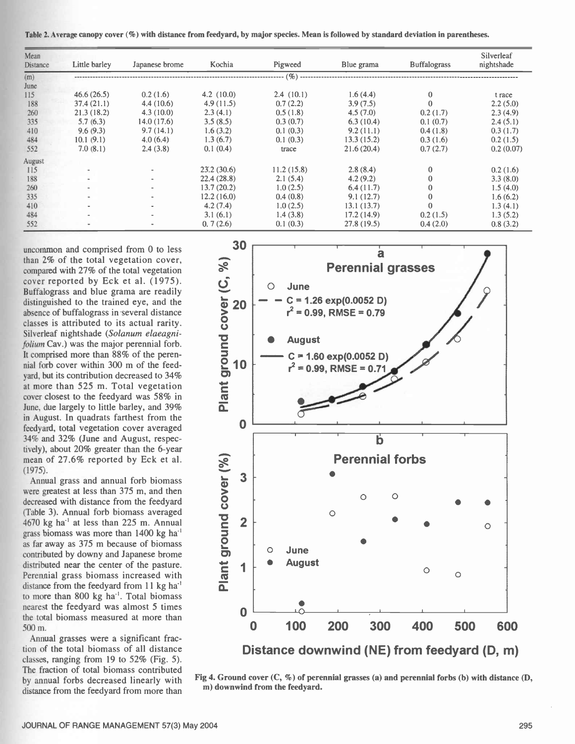Table 2. Average canopy cover (%) with distance from feedyard, by major species. Mean is followed by standard deviation in parentheses.

| Mean<br>Distance | Little barley | Japanese brome | Kochia     | Pigweed    | Blue grama | <b>Buffalograss</b> | Silverleaf<br>nightshade |
|------------------|---------------|----------------|------------|------------|------------|---------------------|--------------------------|
| (m)              |               |                |            | $( \% )$   |            |                     |                          |
| June             |               |                |            |            |            |                     |                          |
| 115              | 46.6(26.5)    | 0.2(1.6)       | 4.2(10.0)  | 2.4(10.1)  | 1.6(4.4)   | 0                   | t race                   |
| 188              | 37.4(21.1)    | 4.4(10.6)      | 4.9(11.5)  | 0.7(2.2)   | 3.9(7.5)   | $\theta$            | 2.2(5.0)                 |
| 260              | 21.3(18.2)    | 4.3(10.0)      | 2.3(4.1)   | 0.5(1.8)   | 4.5(7.0)   | 0.2(1.7)            | 2.3(4.9)                 |
| 335              | 5.7(6.3)      | 14.0(17.6)     | 3.5(8.5)   | 0.3(0.7)   | 6.3(10.4)  | 0.1(0.7)            | 2.4(5.1)                 |
| 410              | 9.6(9.3)      | 9.7(14.1)      | 1.6(3.2)   | 0.1(0.3)   | 9.2(11.1)  | 0.4(1.8)            | 0.3(1.7)                 |
| 484              | 10.1(9.1)     | 4.0(6.4)       | 1.3(6.7)   | 0.1(0.3)   | 13.3(15.2) | 0.3(1.6)            | 0.2(1.5)                 |
| 552              | 7.0(8.1)      | 2.4(3.8)       | 0.1(0.4)   | trace      | 21.6(20.4) | 0.7(2.7)            | 0.2(0.07)                |
| August           |               |                |            |            |            |                     |                          |
| 115              |               |                | 23.2(30.6) | 11.2(15.8) | 2.8(8.4)   | $\mathbf{0}$        | 0.2(1.6)                 |
| 188              |               | $\sim$         | 22.4(28.8) | 2.1(5.4)   | 4.2(9.2)   | $\mathbf{0}$        | 3.3(8.0)                 |
| 260              |               | $\sim$         | 13.7(20.2) | 1.0(2.5)   | 6.4(11.7)  | $\bf{0}$            | 1.5(4.0)                 |
| 335              |               | $\,$           | 12.2(16.0) | 0.4(0.8)   | 9.1(12.7)  | $\mathbf{0}$        | 1.6(6.2)                 |
| 410              |               | ۰              | 4.2(7.4)   | 1.0(2.5)   | 13.1(13.7) | $\mathbf{0}$        | 1.3(4.1)                 |
| 484              |               |                | 3.1(6.1)   | 1.4(3.8)   | 17.2(14.9) | 0.2(1.5)            | 1.3(5.2)                 |
| 552              |               |                | 0.7(2.6)   | 0.1(0.3)   | 27.8(19.5) | 0.4(2.0)            | 0.8(3.2)                 |

uncommon and comprised from 0 to less than 2% of the total vegetation cover, than 2% of the total vegetation cover,<br>compared with 27% of the total vegetation cover reported by Eck et al. (1975). Buffalograss and blue grama are readily distinguished to the trained eye, and the absence of buffalograss in several distance classes is attributed to its actual rarity. Silverleaf nightshade (Solanum elaeagnifolium Cay.) was the major perennial forb. It comprised more than 88% of the perennial forb cover within 300 m of the feed yard, but its contribution decreased to 34% at more than 525 m. Total vegetation cover closest to the feedyard was 58% in June, due largely to little barley, and 39% in August. In quadrats farthest from the feedyard, total vegetation cover averaged 34% and 32% (June and August, respectively), about 20% greater than the 6-year mean of 27.6% reported by Eck et al. (1975).

Annual grass and annual forb biomass mean of 27.6% reported by Eck et al.<br>
(1975).<br>
Annual grass and annual forb biomass<br>
were greatest at less than 375 m, and then<br>
decreased with distance from the feedyard<br>
(Table 3). Annual forb biomass averaged<br>
4670 kg decreased with distance from the feedyard (Table 3). Annual forb biomass averaged  $4670$  kg ha<sup>-1</sup> at less than 225 m. Annual grass biomass was more than 1400 kg ha' as far away as 375 m because of biomass contributed by downy and Japanese brome distributed near the center of the pasture. Perennial grass biomass increased with distance from the feedyard from 11 kg ha<sup>-1</sup> to more than 800 kg ha<sup>-1</sup>. Total biomass nearest the feedyard was almost 5 times the total biomass measured at more than 500 m.

Annual grasses were a significant fraction of the total biomass of all distance classes, ranging from 19 to 52% (Fig. 5). The fraction of total biomass contributed by annual forbs decreased linearly with distance from the feedyard from more than



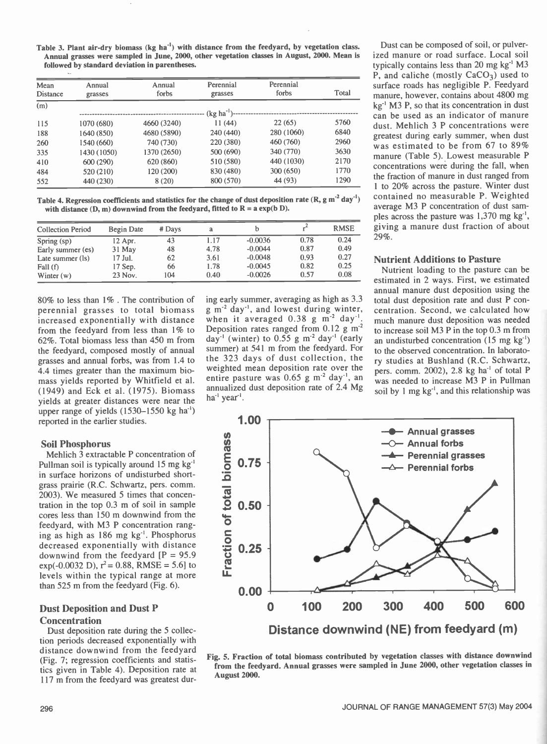Table 3. Plant air -dry biomass (kg ha'') with distance from the feedyard, by vegetation class. Annual grasses were sampled in June, 2000, other vegetation classes in August, 2000. Mean is followed by standard deviation in parentheses.

| Mean<br>Distance | Annual<br>grasses | Annual<br>forbs | Perennial<br>grasses | Perennial<br>forbs | Total |
|------------------|-------------------|-----------------|----------------------|--------------------|-------|
| (m)              |                   |                 | $(kg ha^{-1})$ -     |                    |       |
| 115              | 1070 (680)        | 4660 (3240)     | 11(44)               | 22(65)             | 5760  |
| 188              | 1640 (850)        | 4680 (5890)     | 240(440)             | 280 (1060)         | 6840  |
| 260              | 1540 (660)        | 740 (730)       | 220 (380)            | 460 (760)          | 2960  |
| 335              | 1430 (1050)       | 1370 (2650)     | 500 (690)            | 340 (770)          | 3630  |
| 410              | 600 (290)         | 620 (860)       | 510 (580)            | 440 (1030)         | 2170  |
| 484              | 520 (210)         | 120 (200)       | 830 (480)            | 300 (650)          | 1770  |
| 552              | 440 (230)         | 8(20)           | 800 (570)            | 44 (93)            | 1290  |

Table 4. Regression coefficients and statistics for the change of dust deposition rate (R, g  $m^2$  day<sup>-1</sup>) with distance  $(D, m)$  downwind from the feedyard, fitted to  $R = a \exp(b \ D)$ .

| <b>Collection Period</b> | <b>Begin Date</b> | # Days | a    |           |      | <b>RMSE</b> |
|--------------------------|-------------------|--------|------|-----------|------|-------------|
| Spring $(sp)$            | $12$ Apr.         | 43     | 1.17 | $-0.0036$ | 0.78 | 0.24        |
| Early summer (es)        | $31$ May          | 48     | 4.78 | $-0.0044$ | 0.87 | 0.49        |
| Late summer (ls)         | 17 Jul.           | 62     | 3.61 | $-0.0048$ | 0.93 | 0.27        |
| Fall(f)                  | $17$ Sep.         | 66     | 1.78 | $-0.0045$ | 0.82 | 0.25        |
| Winter $(w)$             | 23 Nov.           | 104    | 0.40 | $-0.0026$ | 0.57 | 0.08        |
|                          |                   |        |      |           |      |             |

80% to less than 1%. The contribution of ing early summer, averaging as high as 3.3 nerennial grasses to total biomass  $g m^2 day^{-1}$ , and lowest during winter, perennial grasses to total biomass increased exponentially with distance from the feedyard from less than 1% to 62 %. Total biomass less than 450 m from the feedyard, composed mostly of annual grasses and annual forbs, was from 1.4 to 4.4 times greater than the maximum biomass yields reported by Whitfield et al. (1949) and Eck et al. (1975). Biomass yields at greater distances were near the upper range of yields  $(1530 - 1550 \text{ kg ha}^{-1})$ reported in the earlier studies.

## Soil Phosphorus

Mehlich 3 extractable P concentration of Pullman soil is typically around 15 mg kg<sup>-1</sup> in surface horizons of undisturbed shortgrass prairie (R.C. Schwartz, pers. comm. 2003). We measured 5 times that concentration in the top 0.3 m of soil in sample cores less than 150 m downwind from the feedyard, with M3 P concentration ranging as high as 186 mg kg'. Phosphorus decreased exponentially with distance downwind from the feedyard  $[P = 95.9]$ exp(-0.0032 D),  $r^2$  = 0.88, RMSE = 5.6] to levels within the typical range at more than 525 m from the feedyard (Fig. 6).

## Dust Deposition and Dust P **Concentration**

Dust deposition rate during the 5 collection periods decreased exponentially with distance downwind from the feedyard (Fig. 7; regression coefficients and statistics given in Table 4). Deposition rate at 117 m from the feedyard was greatest during early summer, averaging as high as 3.3 when it averaged  $0.38$  g m<sup>-2</sup> day<sup>-1</sup> Deposition rates ranged from  $0.12 \text{ g m}^2$ day<sup>-1</sup> (winter) to 0.55 g m<sup>-2</sup> day<sup>-1</sup> (early summer) at 541 m from the feedyard. For the 323 days of dust collection, the weighted mean deposition rate over the entire pasture was  $0.65$  g m<sup>-2</sup> day<sup>-1</sup>, an annualized dust deposition rate of 2.4 Mg ha<sup>-1</sup> year<sup>-1</sup>.

Dust can be composed of soil, or pulverized manure or road surface. Local soil typically contains less than  $20 \text{ mg kg}^{-1} \text{ M}3$ P, and caliche (mostly  $CaCO<sub>3</sub>$ ) used to surface roads has negligible P. Feedyard manure, however, contains about 4800 mg  $kg<sup>-1</sup> M3 P$ , so that its concentration in dust can be used as an indicator of manure dust. Mehlich 3 P concentrations were greatest during early summer, when dust was estimated to be from 67 to 89% manure (Table 5). Lowest measurable P concentrations were during the fall, when the fraction of manure in dust ranged from 1 to 20% across the pasture. Winter dust contained no measurable P. Weighted average M3 P concentration of dust samples across the pasture was  $1,370$  mg kg<sup>-1</sup>, giving a manure dust fraction of about  $29%$ .

#### Nutrient Additions to Pasture

Nutrient loading to the pasture can be estimated in 2 ways. First, we estimated annual manure dust deposition using the total dust deposition rate and dust P concentration. Second, we calculated how much manure dust deposition was needed to increase soil M3 P in the top 0.3 m from an undisturbed concentration  $(15 \text{ mg kg}^{-1})$ to the observed concentration. In laboratory studies at Bushland (R.C. Schwartz, pers. comm. 2002), 2.8 kg ha<sup>-1</sup> of total P was needed to increase M3 P in Pullman soil by 1 mg  $kg<sup>-1</sup>$ , and this relationship was



Fig. 5. Fraction of total biomass contributed by vegetation classes with distance downwind from the feedyard. Annual grasses were sampled in June 2000, other vegetation classes in August 2000.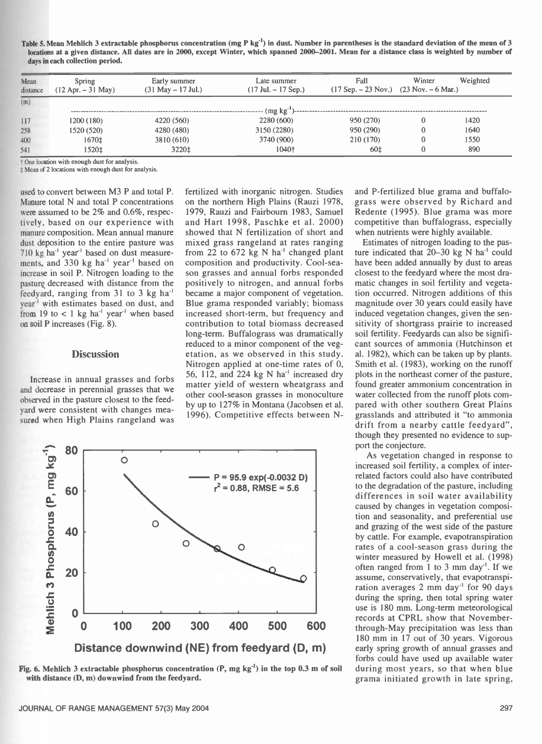Table 5. Mean Mehlich 3 extractable phosphorus concentration (mg P kg<sup>-1</sup>) in dust. Number in parentheses is the standard deviation of the mean of 3 locations at a given distance. All dates are in 2000, except Winter, which spanned 2000–2001. Mean for a distance class is weighted by number of days in each collection period.

| Mean<br>distance | Spring<br>$(12$ Apr. $-31$ May) | Fall<br>Early summer<br>Late summer<br>$(17$ Sep. $- 23$ Nov.) $(23$ Nov. $- 6$ Mar.)<br>$(31$ May $- 17$ Jul.)<br>$(17 \text{ Jul.} - 17 \text{ Sep.})$ |                   | Winter    | Weighted |      |
|------------------|---------------------------------|----------------------------------------------------------------------------------------------------------------------------------------------------------|-------------------|-----------|----------|------|
| (m)              |                                 |                                                                                                                                                          |                   |           |          |      |
|                  |                                 |                                                                                                                                                          | $(mg kg^{-1})$ -- |           |          |      |
| 117              | 1200 (180)                      | 4220 (560)                                                                                                                                               | 2280 (600)        | 950 (270) |          | 1420 |
| 258              | 1520 (520)                      | 4280 (480)                                                                                                                                               | 3150 (2280)       | 950 (290) |          | 1640 |
| 400              | 1670‡                           | 3810 (610)                                                                                                                                               | 3740 (900)        | 210 (170) |          | 1550 |
| 541              | 1520±                           | 3220‡                                                                                                                                                    | 1040+             | 60‡       |          | 890  |

t One location with enough dust for analysis.

 $±$  Mean of 2 locations with enough dust for analysis.

used to convert between M3 P and total P. Manure total N and total P concentrations were assumed to be  $2\%$  and  $0.6\%$ , respectively, based on our experience with manure composition. Mean annual manure dust deposition to the entire pasture was 710 kg ha' year' based on dust measurements, and 330 kg ha<sup>-1</sup> year<sup>-1</sup> based on increase in soil P. Nitrogen loading to the pasture decreased with distance from the feedyard, ranging from 31 to 3 kg ha<sup>-1</sup> year' with estimates based on dust, and from 19 to  $< 1$  kg ha<sup>-1</sup> year<sup>-1</sup> when based on soil P increases (Fig. 8).

#### **Discussion**

Increase in annual grasses and forbs and decrease in perennial grasses that we observed in the pasture closest to the feedyard were consistent with changes measured when High Plains rangeland was

fertilized with inorganic nitrogen. Studies on the northern High Plains (Rauzi 1978, 1979, Rauzi and Fairbourn 1983, Samuel and Hart 1998, Paschke et al. 2000) showed that N fertilization of short and mixed grass rangeland at rates ranging from 22 to 672 kg N ha' changed plant composition and productivity. Cool-season grasses and annual forbs responded positively to nitrogen, and annual forbs became a major component of vegetation. Blue grama responded variably; biomass increased short-term, but frequency and contribution to total biomass decreased long-term. Buffalograss was dramatically reduced to a minor component of the vegetation, as we observed in this study. Nitrogen applied at one-time rates of 0, 56, 112, and 224 kg N  $ha^{-1}$  increased dry matter yield of western wheatgrass and other cool- season grasses in monoculture by up to 127% in Montana (Jacobsen et al. 1996). Competitive effects between N-



Fig. 6. Mehlich 3 extractable phosphorus concentration  $(P, mg kg^{-1})$  in the top 0.3 m of soil with distance (D, m) downwind from the feedyard.

and P-fertilized blue grama and buffalograss were observed by Richard and Redente (1995). Blue grama was more competitive than buffalograss, especially when nutrients were highly available.

Estimates of nitrogen loading to the pasture indicated that  $20-30$  kg N ha<sup>-1</sup> could have been added annually by dust to areas closest to the feedyard where the most dramatic changes in soil fertility and vegetation occurred. Nitrogen additions of this magnitude over 30 years could easily have induced vegetation changes, given the sensitivity of shortgrass prairie to increased soil fertility. Feedyards can also be significant sources of ammonia (Hutchinson et al. 1982), which can be taken up by plants. Smith et al. (1983), working on the runoff plots in the northeast corner of the pasture, found greater ammonium concentration in water collected from the runoff plots compared with other southern Great Plains grasslands and attributed it "to ammonia drift from a nearby cattle feedyard", though they presented no evidence to support the conjecture.

As vegetation changed in response to increased soil fertility, a complex of interrelated factors could also have contributed to the degradation of the pasture, including differences in soil water availability caused by changes in vegetation composition and seasonality, and preferential use and grazing of the west side of the pasture by cattle. For example, evapotranspiration rates of a cool- season grass during the winter measured by Howell et al. (1998) often ranged from 1 to 3 mm day<sup>-1</sup>. If we assume, conservatively, that evapotranspiration averages 2 mm day<sup>-1</sup> for 90 days during the spring, then total spring water use is 180 mm. Long-term meteorological records at CPRL show that November through-May precipitation was less than 180 mm in 17 out of 30 years. Vigorous early spring growth of annual grasses and forbs could have used up available water during most years, so that when blue grama initiated growth in late spring,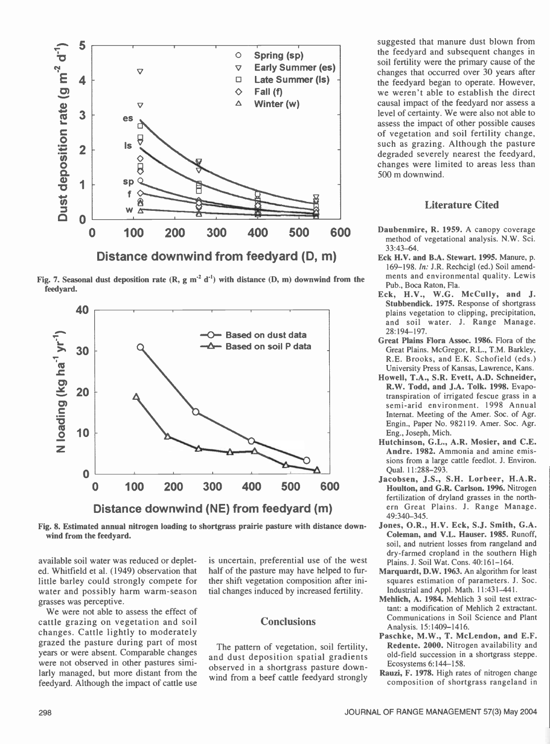

Fig. 7. Seasonal dust deposition rate  $(R, g m^2 d^1)$  with distance  $(D, m)$  downwind from the feedyard.



Fig. 8. Estimated annual nitrogen loading to shortgrass prairie pasture with distance downwind from the feedyard.

available soil water was reduced or depleted. Whitfield et al. (1949) observation that little barley could strongly compete for water and possibly harm warm-season grasses was perceptive.

We were not able to assess the effect of cattle grazing on vegetation and soil changes. Cattle lightly to moderately grazed the pasture during part of most years or were absent. Comparable changes were not observed in other pastures similarly managed, but more distant from the feedyard. Although the impact of cattle use

is uncertain, preferential use of the west half of the pasture may have helped to further shift vegetation composition after initial changes induced by increased fertility.

## **Conclusions**

The pattern of vegetation, soil fertility, and dust deposition spatial gradients observed in a shortgrass pasture downwind from a beef cattle feedyard strongly

suggested that manure dust blown from the feedyard and subsequent changes in soil fertility were the primary cause of the changes that occurred over 30 years after the feedyard began to operate. However, we weren't able to establish the direct causal impact of the feedyard nor assess a level of certainty. We were also not able to assess the impact of other possible causes of vegetation and soil fertility change, such as grazing. Although the pasture degraded severely nearest the feedyard, changes were limited to areas less than 500 m downwind.

# Literature Cited

- 600 Daubenmire, R. 1959. A canopy coverage<br>method of vegetational analysis  $N W S$ method of vegetational analysis. N.W. Sci. 33:43 -64.
	- Eck H.V. and B.A. Stewart. 1995. Manure, p. 169-198. In: J.R. Rechcigl (ed.) Soil amendments and environmental quality. Lewis Pub., Boca Raton, Fla.
	- Eck, H.V., W.G. McCully, and J. Stubbendick. 1975. Response of shortgrass plains vegetation to clipping, precipitation, and soil water. J. Range Manage. 28:194 -197.
	- Great Plains Flora Assoc. 1986. Flora of the Great Plains. McGregor, R.L., T.M. Barkley, R.E. Brooks, and E.K. Schofield (eds.) University Press of Kansas, Lawrence, Kans.
	- Howell, T.A., S.R. Evett, A.D. Schneider, R.W. Todd, and J.A. Tolk. 1998. Evapotranspiration of irrigated fescue grass in a semi-arid environment. 1998 Annual Internat. Meeting of the Amer. Soc. of Agr. Engin., Paper No. 982119. Amer. Soc. Agr. Eng., Joseph, Mich.
	- Hutchinson, G.L., A.R. Mosier, and C.E. Andre. 1982. Ammonia and amine emissions from a large cattle feedlot. J. Environ. Qual. 11:288-293.
	- Jacobsen, J.S., S.H. Lorbeer, H.A.R. Houlton, and G.R. Carlson. 1996. Nitrogen fertilization of dryland grasses in the northern Great Plains. J. Range Manage. 49:340-345.
	- Jones, O.R., H.V. Eck, S.J. Smith, G.A. Coleman, and V.L. Hauser. 1985. Runoff, soil, and nutrient losses from rangeland and dry- farmed cropland in the southern High Plains. J. Soil Wat. Cons. 40:161-164.
	- Marquardt, D.W. 1963. An algorithm for least squares estimation of parameters. J. Soc. Industrial and Appl. Math. 11:431-441.
	- Mehlich, A. 1984. Mehlich 3 soil test extractant: a modification of Mehlich 2 extractant. Communications in Soil Science and Plant Analysis. 15:1409-1416.
	- Paschke, M.W., T. McLendon, and E.F. Redente. 2000. Nitrogen availability and old -field succession in a shortgrass steppe. Ecosystems 6:144-158.
	- Rauzi, F. 1978. High rates of nitrogen change composition of shortgrass rangeland in